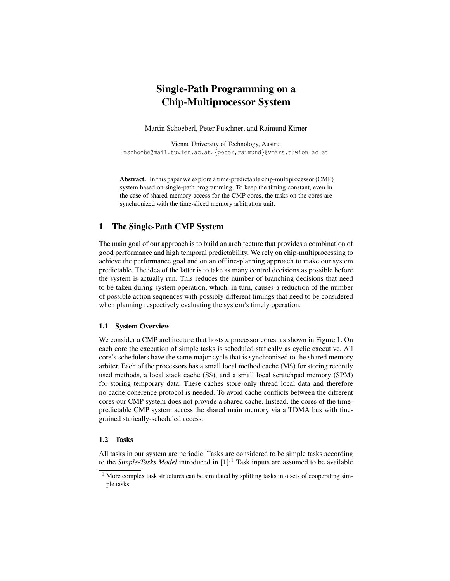# Single-Path Programming on a Chip-Multiprocessor System

Martin Schoeberl, Peter Puschner, and Raimund Kirner

Vienna University of Technology, Austria mschoebe@mail.tuwien.ac.at, {peter,raimund}@vmars.tuwien.ac.at

Abstract. In this paper we explore a time-predictable chip-multiprocessor (CMP) system based on single-path programming. To keep the timing constant, even in the case of shared memory access for the CMP cores, the tasks on the cores are synchronized with the time-sliced memory arbitration unit.

# 1 The Single-Path CMP System

The main goal of our approach is to build an architecture that provides a combination of good performance and high temporal predictability. We rely on chip-multiprocessing to achieve the performance goal and on an offline-planning approach to make our system predictable. The idea of the latter is to take as many control decisions as possible before the system is actually run. This reduces the number of branching decisions that need to be taken during system operation, which, in turn, causes a reduction of the number of possible action sequences with possibly different timings that need to be considered when planning respectively evaluating the system's timely operation.

#### 1.1 System Overview

We consider a CMP architecture that hosts *n* processor cores, as shown in Figure 1. On each core the execution of simple tasks is scheduled statically as cyclic executive. All core's schedulers have the same major cycle that is synchronized to the shared memory arbiter. Each of the processors has a small local method cache (M\$) for storing recently used methods, a local stack cache (S\$), and a small local scratchpad memory (SPM) for storing temporary data. These caches store only thread local data and therefore no cache coherence protocol is needed. To avoid cache conflicts between the different cores our CMP system does not provide a shared cache. Instead, the cores of the timepredictable CMP system access the shared main memory via a TDMA bus with finegrained statically-scheduled access.

#### 1.2 Tasks

All tasks in our system are periodic. Tasks are considered to be simple tasks according to the *Simple-Tasks Model* introduced in [1]:<sup>1</sup> Task inputs are assumed to be available

<sup>&</sup>lt;sup>1</sup> More complex task structures can be simulated by splitting tasks into sets of cooperating simple tasks.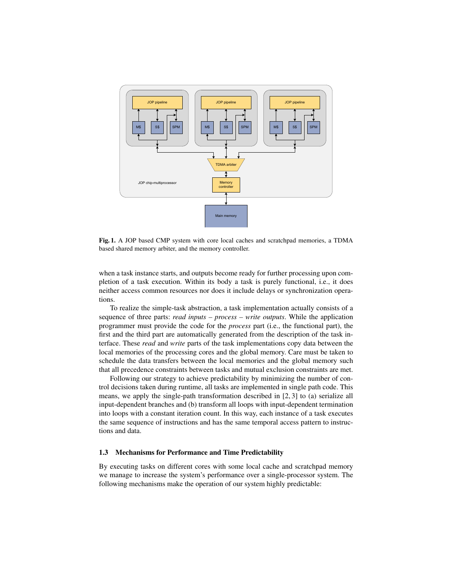

Fig. 1. A JOP based CMP system with core local caches and scratchpad memories, a TDMA based shared memory arbiter, and the memory controller.

when a task instance starts, and outputs become ready for further processing upon completion of a task execution. Within its body a task is purely functional, i.e., it does neither access common resources nor does it include delays or synchronization operations.

To realize the simple-task abstraction, a task implementation actually consists of a sequence of three parts: *read inputs – process – write outputs*. While the application programmer must provide the code for the *process* part (i.e., the functional part), the first and the third part are automatically generated from the description of the task interface. These *read* and *write* parts of the task implementations copy data between the local memories of the processing cores and the global memory. Care must be taken to schedule the data transfers between the local memories and the global memory such that all precedence constraints between tasks and mutual exclusion constraints are met.

Following our strategy to achieve predictability by minimizing the number of control decisions taken during runtime, all tasks are implemented in single path code. This means, we apply the single-path transformation described in [2, 3] to (a) serialize all input-dependent branches and (b) transform all loops with input-dependent termination into loops with a constant iteration count. In this way, each instance of a task executes the same sequence of instructions and has the same temporal access pattern to instructions and data.

#### 1.3 Mechanisms for Performance and Time Predictability

By executing tasks on different cores with some local cache and scratchpad memory we manage to increase the system's performance over a single-processor system. The following mechanisms make the operation of our system highly predictable: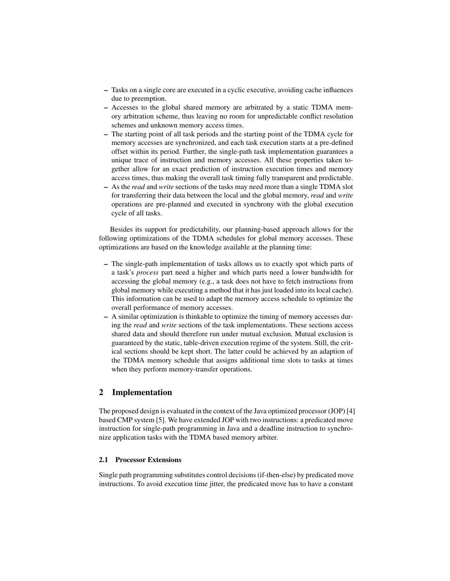- Tasks on a single core are executed in a cyclic executive, avoiding cache influences due to preemption.
- Accesses to the global shared memory are arbitrated by a static TDMA memory arbitration scheme, thus leaving no room for unpredictable conflict resolution schemes and unknown memory access times.
- The starting point of all task periods and the starting point of the TDMA cycle for memory accesses are synchronized, and each task execution starts at a pre-defined offset within its period. Further, the single-path task implementation guarantees a unique trace of instruction and memory accesses. All these properties taken together allow for an exact prediction of instruction execution times and memory access times, thus making the overall task timing fully transparent and predictable.
- As the *read* and *write* sections of the tasks may need more than a single TDMA slot for transferring their data between the local and the global memory, *read* and *write* operations are pre-planned and executed in synchrony with the global execution cycle of all tasks.

Besides its support for predictability, our planning-based approach allows for the following optimizations of the TDMA schedules for global memory accesses. These optimizations are based on the knowledge available at the planning time:

- The single-path implementation of tasks allows us to exactly spot which parts of a task's *process* part need a higher and which parts need a lower bandwidth for accessing the global memory (e.g., a task does not have to fetch instructions from global memory while executing a method that it has just loaded into its local cache). This information can be used to adapt the memory access schedule to optimize the overall performance of memory accesses.
- A similar optimization is thinkable to optimize the timing of memory accesses during the *read* and *write* sections of the task implementations. These sections access shared data and should therefore run under mutual exclusion. Mutual exclusion is guaranteed by the static, table-driven execution regime of the system. Still, the critical sections should be kept short. The latter could be achieved by an adaption of the TDMA memory schedule that assigns additional time slots to tasks at times when they perform memory-transfer operations.

## 2 Implementation

The proposed design is evaluated in the context of the Java optimized processor (JOP) [4] based CMP system [5]. We have extended JOP with two instructions: a predicated move instruction for single-path programming in Java and a deadline instruction to synchronize application tasks with the TDMA based memory arbiter.

## 2.1 Processor Extensions

Single path programming substitutes control decisions (if-then-else) by predicated move instructions. To avoid execution time jitter, the predicated move has to have a constant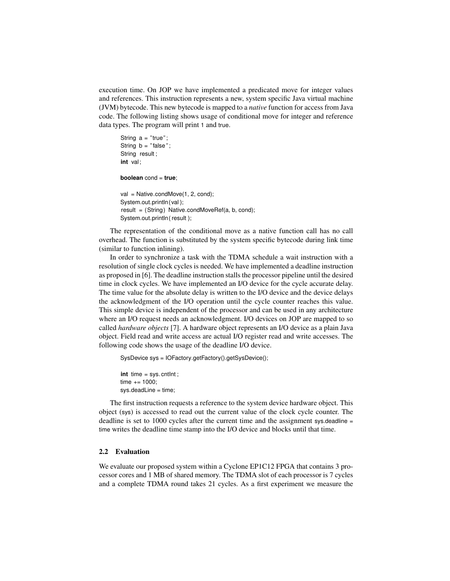execution time. On JOP we have implemented a predicated move for integer values and references. This instruction represents a new, system specific Java virtual machine (JVM) bytecode. This new bytecode is mapped to a *native* function for access from Java code. The following listing shows usage of conditional move for integer and reference data types. The program will print 1 and true.

```
String a = "true";String b = "false";String result;
int val;
boolean cond = true;
val = Native.condMove(1, 2, cond);
System.out.println (val);
result = (String) Native.condMoveRef(a, b, cond);
```
System.out.println ( result );

The representation of the conditional move as a native function call has no call overhead. The function is substituted by the system specific bytecode during link time (similar to function inlining).

In order to synchronize a task with the TDMA schedule a wait instruction with a resolution of single clock cycles is needed. We have implemented a deadline instruction as proposed in [6]. The deadline instruction stalls the processor pipeline until the desired time in clock cycles. We have implemented an I/O device for the cycle accurate delay. The time value for the absolute delay is written to the I/O device and the device delays the acknowledgment of the I/O operation until the cycle counter reaches this value. This simple device is independent of the processor and can be used in any architecture where an I/O request needs an acknowledgment. I/O devices on JOP are mapped to so called *hardware objects* [7]. A hardware object represents an I/O device as a plain Java object. Field read and write access are actual I/O register read and write accesses. The following code shows the usage of the deadline I/O device.

SysDevice sys = IOFactory.getFactory().getSysDevice();

int time = sys. cntlnt; time  $+= 1000$ : sys.deadLine = time;

The first instruction requests a reference to the system device hardware object. This object (sys) is accessed to read out the current value of the clock cycle counter. The deadline is set to 1000 cycles after the current time and the assignment sys.deadline = time writes the deadline time stamp into the I/O device and blocks until that time.

#### 2.2 Evaluation

We evaluate our proposed system within a Cyclone EP1C12 FPGA that contains 3 processor cores and 1 MB of shared memory. The TDMA slot of each processor is 7 cycles and a complete TDMA round takes 21 cycles. As a first experiment we measure the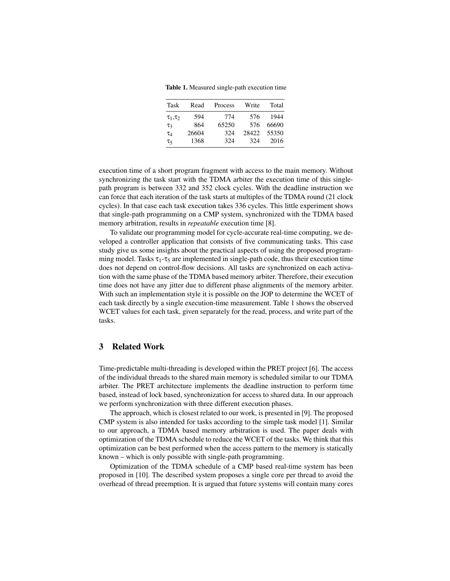Table 1. Measured single-path execution time

| Task             | Read  | Process | Write | Total |
|------------------|-------|---------|-------|-------|
| $\tau_1, \tau_2$ | 594   | 774     | 576   | 1944  |
| $\tau_3$         | 864   | 65250   | 576   | 66690 |
| $\tau_4$         | 26604 | 324     | 28422 | 55350 |
| τς               | 1368  | 324     | 324   | 2016  |

execution time of a short program fragment with access to the main memory. Without synchronizing the task start with the TDMA arbiter the execution time of this singlepath program is between 332 and 352 clock cycles. With the deadline instruction we can force that each iteration of the task starts at multiples of the TDMA round (21 clock cycles). In that case each task execution takes 336 cycles. This little experiment shows that single-path programming on a CMP system, synchronized with the TDMA based memory arbitration, results in *repeatable* execution time [8].

To validate our programming model for cycle-accurate real-time computing, we developed a controller application that consists of five communicating tasks. This case study give us some insights about the practical aspects of using the proposed programming model. Tasks  $\tau_1$ - $\tau_5$  are implemented in single-path code, thus their execution time does not depend on control-flow decisions. All tasks are synchronized on each activation with the same phase of the TDMA based memory arbiter. Therefore, their execution time does not have any jitter due to different phase alignments of the memory arbiter. With such an implementation style it is possible on the JOP to determine the WCET of each task directly by a single execution-time measurement. Table 1 shows the observed WCET values for each task, given separately for the read, process, and write part of the tasks.

## 3 Related Work

Time-predictable multi-threading is developed within the PRET project [6]. The access of the individual threads to the shared main memory is scheduled similar to our TDMA arbiter. The PRET architecture implements the deadline instruction to perform time based, instead of lock based, synchronization for access to shared data. In our approach we perform synchronization with three different execution phases.

The approach, which is closest related to our work, is presented in [9]. The proposed CMP system is also intended for tasks according to the simple task model [1]. Similar to our approach, a TDMA based memory arbitration is used. The paper deals with optimization of the TDMA schedule to reduce the WCET of the tasks. We think that this optimization can be best performed when the access pattern to the memory is statically known – which is only possible with single-path programming.

Optimization of the TDMA schedule of a CMP based real-time system has been proposed in [10]. The described system proposes a single core per thread to avoid the overhead of thread preemption. It is argued that future systems will contain many cores